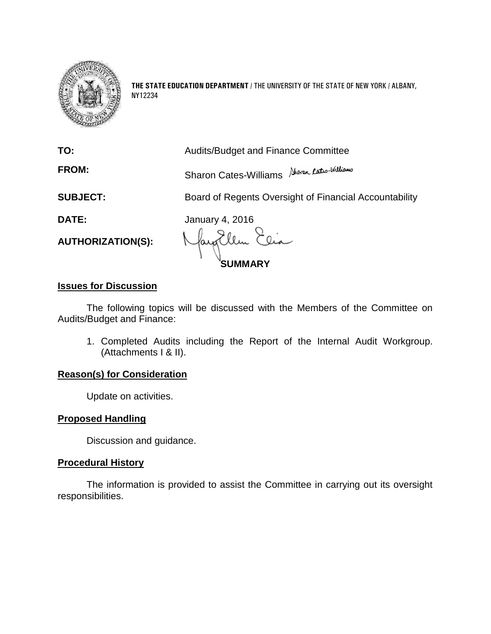

**THE STATE EDUCATION DEPARTMENT** / THE UNIVERSITY OF THE STATE OF NEW YORK / ALBANY, NY12234

|                          | <b>SUMMARY</b>                                         |  |
|--------------------------|--------------------------------------------------------|--|
| <b>AUTHORIZATION(S):</b> | Mayallen Elia                                          |  |
| DATE:                    | <b>January 4, 2016</b>                                 |  |
| <b>SUBJECT:</b>          | Board of Regents Oversight of Financial Accountability |  |
| <b>FROM:</b>             | Sharon Cates-Williams Aboren Cates-Williams            |  |
| TO:                      | <b>Audits/Budget and Finance Committee</b>             |  |

# **Issues for Discussion**

The following topics will be discussed with the Members of the Committee on Audits/Budget and Finance:

1. Completed Audits including the Report of the Internal Audit Workgroup. (Attachments I & II).

# **Reason(s) for Consideration**

Update on activities.

# **Proposed Handling**

Discussion and guidance.

# **Procedural History**

The information is provided to assist the Committee in carrying out its oversight responsibilities.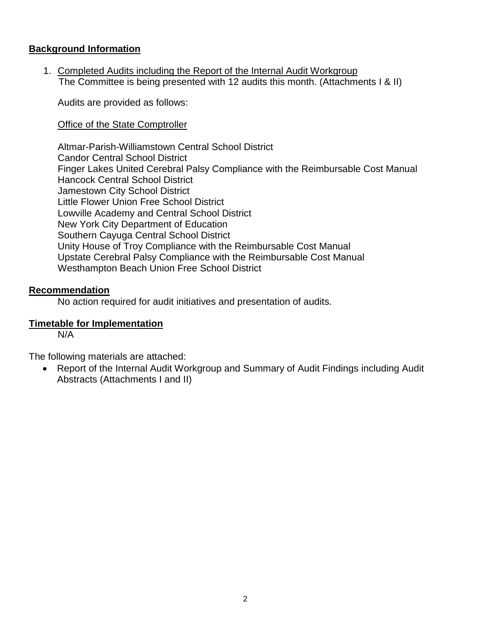# **Background Information**

1. Completed Audits including the Report of the Internal Audit Workgroup The Committee is being presented with 12 audits this month. (Attachments I & II)

Audits are provided as follows:

Office of the State Comptroller

Altmar-Parish-Williamstown Central School District Candor Central School District Finger Lakes United Cerebral Palsy Compliance with the Reimbursable Cost Manual Hancock Central School District Jamestown City School District Little Flower Union Free School District Lowville Academy and Central School District New York City Department of Education Southern Cayuga Central School District Unity House of Troy Compliance with the Reimbursable Cost Manual Upstate Cerebral Palsy Compliance with the Reimbursable Cost Manual Westhampton Beach Union Free School District

# **Recommendation**

No action required for audit initiatives and presentation of audits.

# **Timetable for Implementation**

N/A

The following materials are attached:

 Report of the Internal Audit Workgroup and Summary of Audit Findings including Audit Abstracts (Attachments I and II)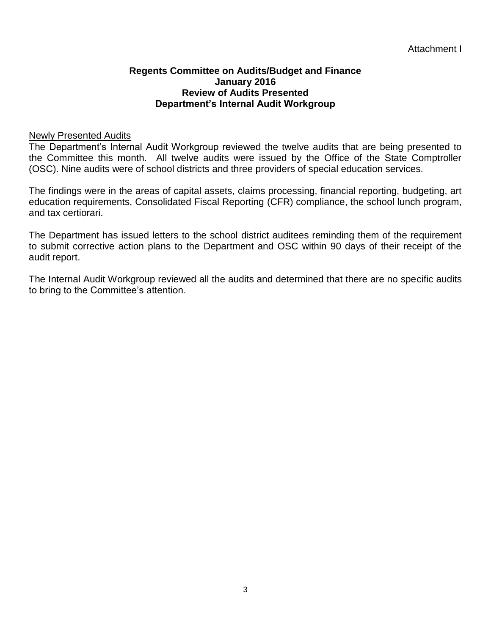### **Regents Committee on Audits/Budget and Finance January 2016 Review of Audits Presented Department's Internal Audit Workgroup**

### Newly Presented Audits

The Department's Internal Audit Workgroup reviewed the twelve audits that are being presented to the Committee this month. All twelve audits were issued by the Office of the State Comptroller (OSC). Nine audits were of school districts and three providers of special education services.

The findings were in the areas of capital assets, claims processing, financial reporting, budgeting, art education requirements, Consolidated Fiscal Reporting (CFR) compliance, the school lunch program, and tax certiorari.

The Department has issued letters to the school district auditees reminding them of the requirement to submit corrective action plans to the Department and OSC within 90 days of their receipt of the audit report.

The Internal Audit Workgroup reviewed all the audits and determined that there are no specific audits to bring to the Committee's attention.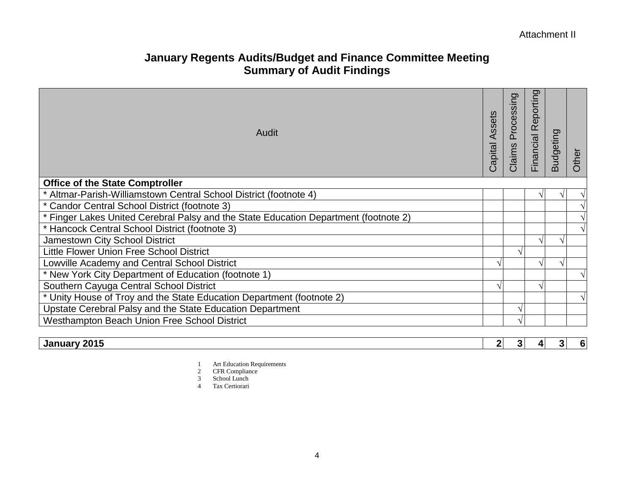# **January Regents Audits/Budget and Finance Committee Meeting Summary of Audit Findings**

| Audit                                                                                | Assets<br>Capital | Processing<br>Claims | Reporting<br>Financial | Budgeting | Other |
|--------------------------------------------------------------------------------------|-------------------|----------------------|------------------------|-----------|-------|
| <b>Office of the State Comptroller</b>                                               |                   |                      |                        |           |       |
| * Altmar-Parish-Williamstown Central School District (footnote 4)                    |                   |                      |                        |           |       |
| * Candor Central School District (footnote 3)                                        |                   |                      |                        |           |       |
| * Finger Lakes United Cerebral Palsy and the State Education Department (footnote 2) |                   |                      |                        |           |       |
| * Hancock Central School District (footnote 3)                                       |                   |                      |                        |           |       |
| Jamestown City School District                                                       |                   |                      |                        |           |       |
| <b>Little Flower Union Free School District</b>                                      |                   |                      |                        |           |       |
| Lowville Academy and Central School District                                         |                   |                      |                        |           |       |
| * New York City Department of Education (footnote 1)                                 |                   |                      |                        |           |       |
| Southern Cayuga Central School District                                              |                   |                      |                        |           |       |
| * Unity House of Troy and the State Education Department (footnote 2)                |                   |                      |                        |           |       |
| Upstate Cerebral Palsy and the State Education Department                            |                   |                      |                        |           |       |
| Westhampton Beach Union Free School District                                         |                   |                      |                        |           |       |
|                                                                                      |                   |                      |                        |           |       |

|  | 201F<br>Janu⊾<br>. . |  |  |  |  |  |
|--|----------------------|--|--|--|--|--|
|--|----------------------|--|--|--|--|--|

1 Art Education Requirements

- 2 CFR Compliance
- 3 School Lunch
- 4 Tax Certiorari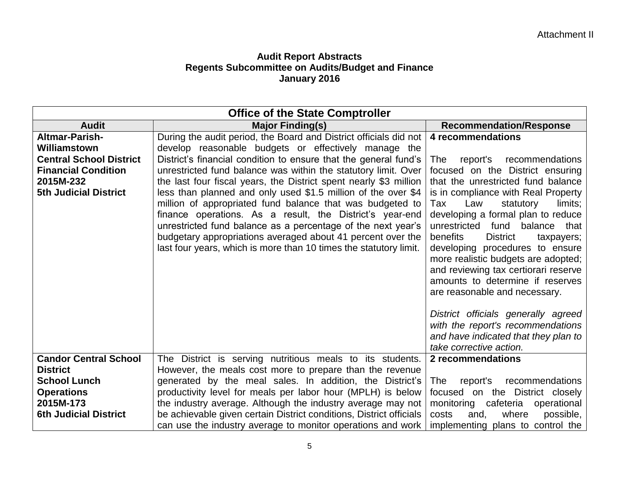| <b>Office of the State Comptroller</b>                                                                                                             |                                                                                                                                                                                                                                                                                                                                                                                                                                                                                                                                                                                                                                                                                                                                      |                                                                                                                                                                                                                                                                                                                                                                                                                                                                                                                                  |  |  |
|----------------------------------------------------------------------------------------------------------------------------------------------------|--------------------------------------------------------------------------------------------------------------------------------------------------------------------------------------------------------------------------------------------------------------------------------------------------------------------------------------------------------------------------------------------------------------------------------------------------------------------------------------------------------------------------------------------------------------------------------------------------------------------------------------------------------------------------------------------------------------------------------------|----------------------------------------------------------------------------------------------------------------------------------------------------------------------------------------------------------------------------------------------------------------------------------------------------------------------------------------------------------------------------------------------------------------------------------------------------------------------------------------------------------------------------------|--|--|
| <b>Audit</b>                                                                                                                                       | <b>Major Finding(s)</b>                                                                                                                                                                                                                                                                                                                                                                                                                                                                                                                                                                                                                                                                                                              | <b>Recommendation/Response</b>                                                                                                                                                                                                                                                                                                                                                                                                                                                                                                   |  |  |
| <b>Altmar-Parish-</b><br>Williamstown<br><b>Central School District</b><br><b>Financial Condition</b><br>2015M-232<br><b>5th Judicial District</b> | During the audit period, the Board and District officials did not  <br>develop reasonable budgets or effectively manage the<br>District's financial condition to ensure that the general fund's<br>unrestricted fund balance was within the statutory limit. Over<br>the last four fiscal years, the District spent nearly \$3 million<br>less than planned and only used \$1.5 million of the over \$4<br>million of appropriated fund balance that was budgeted to<br>finance operations. As a result, the District's year-end<br>unrestricted fund balance as a percentage of the next year's<br>budgetary appropriations averaged about 41 percent over the<br>last four years, which is more than 10 times the statutory limit. | 4 recommendations<br>The<br>report's<br>recommendations<br>focused on the District ensuring<br>that the unrestricted fund balance<br>is in compliance with Real Property<br>Law<br>limits;<br>Tax<br>statutory<br>developing a formal plan to reduce<br>unrestricted<br>balance that<br>fund<br>benefits<br><b>District</b><br>taxpayers;<br>developing procedures to ensure<br>more realistic budgets are adopted;<br>and reviewing tax certiorari reserve<br>amounts to determine if reserves<br>are reasonable and necessary. |  |  |
|                                                                                                                                                    |                                                                                                                                                                                                                                                                                                                                                                                                                                                                                                                                                                                                                                                                                                                                      | District officials generally agreed<br>with the report's recommendations<br>and have indicated that they plan to<br>take corrective action.                                                                                                                                                                                                                                                                                                                                                                                      |  |  |
| <b>Candor Central School</b><br><b>District</b><br><b>School Lunch</b><br><b>Operations</b><br>2015M-173<br><b>6th Judicial District</b>           | The District is serving nutritious meals to its students.<br>However, the meals cost more to prepare than the revenue<br>generated by the meal sales. In addition, the District's<br>productivity level for meals per labor hour (MPLH) is below<br>the industry average. Although the industry average may not<br>be achievable given certain District conditions, District officials<br>can use the industry average to monitor operations and work                                                                                                                                                                                                                                                                                | 2 recommendations<br>recommendations<br>report's<br>The<br>focused on the District closely<br>monitoring cafeteria operational<br>where<br>costs<br>and,<br>possible,<br>implementing plans to control the                                                                                                                                                                                                                                                                                                                       |  |  |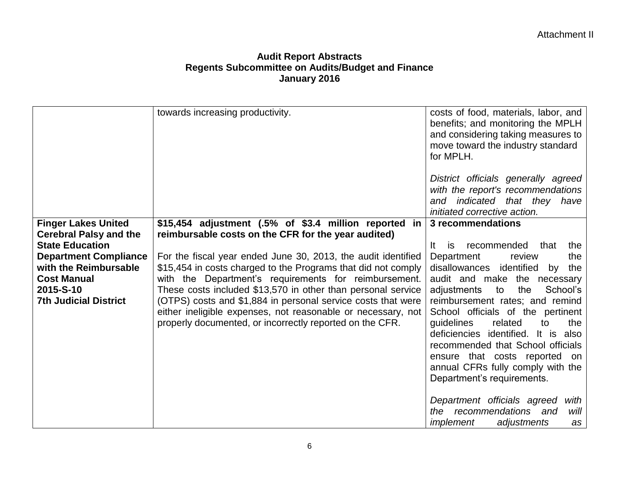|                               | towards increasing productivity.                                                                                                                                                         | costs of food, materials, labor, and<br>benefits; and monitoring the MPLH<br>and considering taking measures to<br>move toward the industry standard<br>for MPLH.                                                                                                                          |
|-------------------------------|------------------------------------------------------------------------------------------------------------------------------------------------------------------------------------------|--------------------------------------------------------------------------------------------------------------------------------------------------------------------------------------------------------------------------------------------------------------------------------------------|
|                               |                                                                                                                                                                                          | District officials generally agreed<br>with the report's recommendations<br>and indicated that they have<br>initiated corrective action.                                                                                                                                                   |
| <b>Finger Lakes United</b>    | \$15,454 adjustment (.5% of \$3.4 million reported in                                                                                                                                    | 3 recommendations                                                                                                                                                                                                                                                                          |
| <b>Cerebral Palsy and the</b> | reimbursable costs on the CFR for the year audited)                                                                                                                                      |                                                                                                                                                                                                                                                                                            |
| <b>State Education</b>        |                                                                                                                                                                                          | recommended<br>that<br>the<br>lt.<br><b>is</b>                                                                                                                                                                                                                                             |
| <b>Department Compliance</b>  | For the fiscal year ended June 30, 2013, the audit identified                                                                                                                            | Department<br>the<br>review                                                                                                                                                                                                                                                                |
| with the Reimbursable         | \$15,454 in costs charged to the Programs that did not comply                                                                                                                            | disallowances<br>identified<br>by<br>the                                                                                                                                                                                                                                                   |
| <b>Cost Manual</b>            | with the Department's requirements for reimbursement.                                                                                                                                    | audit and make the necessary                                                                                                                                                                                                                                                               |
| 2015-S-10                     | These costs included \$13,570 in other than personal service                                                                                                                             | the<br>School's<br>adjustments<br>to                                                                                                                                                                                                                                                       |
| <b>7th Judicial District</b>  | (OTPS) costs and \$1,884 in personal service costs that were<br>either ineligible expenses, not reasonable or necessary, not<br>properly documented, or incorrectly reported on the CFR. | reimbursement rates; and remind<br>School officials of the pertinent<br>quidelines<br>related<br>the<br>to<br>deficiencies identified. It is also<br>recommended that School officials<br>ensure that costs reported on<br>annual CFRs fully comply with the<br>Department's requirements. |
|                               |                                                                                                                                                                                          | Department officials agreed<br>with<br>the recommendations and<br>will<br>implement<br>adjustments<br>as                                                                                                                                                                                   |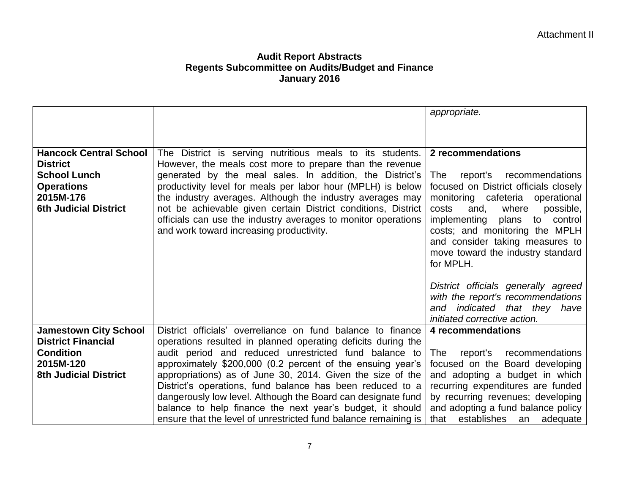|                                                               |                                                                                                                                                                                                                                                                                                                                                                                                                                                | appropriate.                                                                                                                                                                                                                                                     |
|---------------------------------------------------------------|------------------------------------------------------------------------------------------------------------------------------------------------------------------------------------------------------------------------------------------------------------------------------------------------------------------------------------------------------------------------------------------------------------------------------------------------|------------------------------------------------------------------------------------------------------------------------------------------------------------------------------------------------------------------------------------------------------------------|
|                                                               |                                                                                                                                                                                                                                                                                                                                                                                                                                                |                                                                                                                                                                                                                                                                  |
|                                                               |                                                                                                                                                                                                                                                                                                                                                                                                                                                |                                                                                                                                                                                                                                                                  |
| <b>Hancock Central School</b>                                 | The District is serving nutritious meals to its students.                                                                                                                                                                                                                                                                                                                                                                                      | 2 recommendations                                                                                                                                                                                                                                                |
| <b>District</b>                                               | However, the meals cost more to prepare than the revenue                                                                                                                                                                                                                                                                                                                                                                                       |                                                                                                                                                                                                                                                                  |
| <b>School Lunch</b>                                           | generated by the meal sales. In addition, the District's                                                                                                                                                                                                                                                                                                                                                                                       | report's<br>recommendations<br>The                                                                                                                                                                                                                               |
| <b>Operations</b>                                             | productivity level for meals per labor hour (MPLH) is below                                                                                                                                                                                                                                                                                                                                                                                    | focused on District officials closely                                                                                                                                                                                                                            |
| 2015M-176<br><b>6th Judicial District</b>                     | the industry averages. Although the industry averages may                                                                                                                                                                                                                                                                                                                                                                                      | monitoring cafeteria<br>operational<br>costs<br>where                                                                                                                                                                                                            |
|                                                               | not be achievable given certain District conditions, District<br>officials can use the industry averages to monitor operations                                                                                                                                                                                                                                                                                                                 | possible,<br>and,<br>implementing<br>plans<br>to<br>control                                                                                                                                                                                                      |
|                                                               | and work toward increasing productivity.                                                                                                                                                                                                                                                                                                                                                                                                       | costs; and monitoring the MPLH                                                                                                                                                                                                                                   |
|                                                               |                                                                                                                                                                                                                                                                                                                                                                                                                                                | and consider taking measures to                                                                                                                                                                                                                                  |
|                                                               |                                                                                                                                                                                                                                                                                                                                                                                                                                                | move toward the industry standard                                                                                                                                                                                                                                |
|                                                               |                                                                                                                                                                                                                                                                                                                                                                                                                                                | for MPLH.                                                                                                                                                                                                                                                        |
|                                                               |                                                                                                                                                                                                                                                                                                                                                                                                                                                |                                                                                                                                                                                                                                                                  |
|                                                               |                                                                                                                                                                                                                                                                                                                                                                                                                                                | District officials generally agreed                                                                                                                                                                                                                              |
|                                                               |                                                                                                                                                                                                                                                                                                                                                                                                                                                | with the report's recommendations                                                                                                                                                                                                                                |
|                                                               |                                                                                                                                                                                                                                                                                                                                                                                                                                                | and indicated that they have                                                                                                                                                                                                                                     |
|                                                               |                                                                                                                                                                                                                                                                                                                                                                                                                                                | initiated corrective action.                                                                                                                                                                                                                                     |
| <b>Jamestown City School</b>                                  | District officials' overreliance on fund balance to finance                                                                                                                                                                                                                                                                                                                                                                                    | 4 recommendations                                                                                                                                                                                                                                                |
| <b>District Financial</b>                                     | operations resulted in planned operating deficits during the                                                                                                                                                                                                                                                                                                                                                                                   |                                                                                                                                                                                                                                                                  |
|                                                               |                                                                                                                                                                                                                                                                                                                                                                                                                                                |                                                                                                                                                                                                                                                                  |
|                                                               |                                                                                                                                                                                                                                                                                                                                                                                                                                                |                                                                                                                                                                                                                                                                  |
|                                                               |                                                                                                                                                                                                                                                                                                                                                                                                                                                |                                                                                                                                                                                                                                                                  |
|                                                               |                                                                                                                                                                                                                                                                                                                                                                                                                                                |                                                                                                                                                                                                                                                                  |
|                                                               |                                                                                                                                                                                                                                                                                                                                                                                                                                                |                                                                                                                                                                                                                                                                  |
|                                                               |                                                                                                                                                                                                                                                                                                                                                                                                                                                |                                                                                                                                                                                                                                                                  |
| <b>Condition</b><br>2015M-120<br><b>8th Judicial District</b> | audit period and reduced unrestricted fund balance to<br>approximately \$200,000 (0.2 percent of the ensuing year's<br>appropriations) as of June 30, 2014. Given the size of the<br>District's operations, fund balance has been reduced to a<br>dangerously low level. Although the Board can designate fund<br>balance to help finance the next year's budget, it should<br>ensure that the level of unrestricted fund balance remaining is | report's<br>recommendations<br>The<br>focused on the Board developing<br>and adopting a budget in which<br>recurring expenditures are funded<br>by recurring revenues; developing<br>and adopting a fund balance policy<br>establishes<br>adequate<br>that<br>an |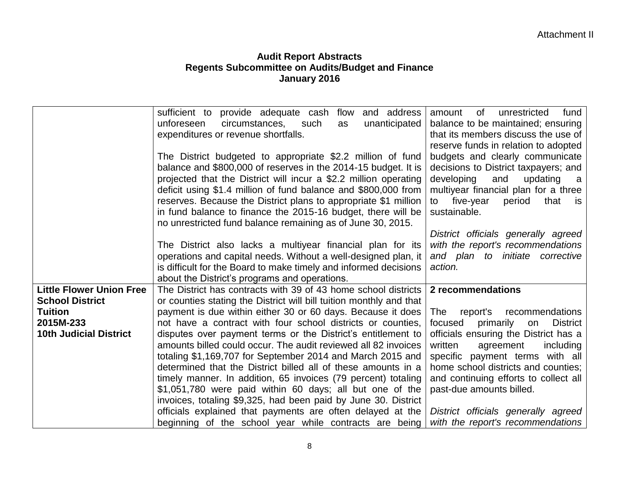|                                 | sufficient to provide adequate cash<br>flow<br>and address          | fund<br>amount<br>0f<br>unrestricted          |
|---------------------------------|---------------------------------------------------------------------|-----------------------------------------------|
|                                 | unforeseen<br>circumstances,<br>unanticipated<br>such<br>as         | balance to be maintained; ensuring            |
|                                 | expenditures or revenue shortfalls.                                 | that its members discuss the use of           |
|                                 |                                                                     | reserve funds in relation to adopted          |
|                                 | The District budgeted to appropriate \$2.2 million of fund          | budgets and clearly communicate               |
|                                 | balance and \$800,000 of reserves in the 2014-15 budget. It is      | decisions to District taxpayers; and          |
|                                 | projected that the District will incur a \$2.2 million operating    | developing<br>and<br>updating a               |
|                                 | deficit using \$1.4 million of fund balance and \$800,000 from      | multiyear financial plan for a three          |
|                                 | reserves. Because the District plans to appropriate \$1 million     | five-year<br>period<br>that<br>to<br>is.      |
|                                 | in fund balance to finance the 2015-16 budget, there will be        | sustainable.                                  |
|                                 | no unrestricted fund balance remaining as of June 30, 2015.         |                                               |
|                                 |                                                                     | District officials generally agreed           |
|                                 | The District also lacks a multiyear financial plan for its          | with the report's recommendations             |
|                                 | operations and capital needs. Without a well-designed plan, it      | and plan to initiate corrective               |
|                                 | is difficult for the Board to make timely and informed decisions    | action.                                       |
|                                 | about the District's programs and operations.                       |                                               |
| <b>Little Flower Union Free</b> | The District has contracts with 39 of 43 home school districts      | 2 recommendations                             |
| <b>School District</b>          | or counties stating the District will bill tuition monthly and that |                                               |
| <b>Tuition</b>                  | payment is due within either 30 or 60 days. Because it does         | report's<br>recommendations<br>The            |
| 2015M-233                       | not have a contract with four school districts or counties,         | focused<br>primarily<br><b>District</b><br>on |
| <b>10th Judicial District</b>   | disputes over payment terms or the District's entitlement to        | officials ensuring the District has a         |
|                                 | amounts billed could occur. The audit reviewed all 82 invoices      | written<br>agreement<br>including             |
|                                 | totaling \$1,169,707 for September 2014 and March 2015 and          | specific payment terms with all               |
|                                 | determined that the District billed all of these amounts in a       | home school districts and counties;           |
|                                 | timely manner. In addition, 65 invoices (79 percent) totaling       | and continuing efforts to collect all         |
|                                 | \$1,051,780 were paid within 60 days; all but one of the            | past-due amounts billed.                      |
|                                 | invoices, totaling \$9,325, had been paid by June 30. District      |                                               |
|                                 | officials explained that payments are often delayed at the          | District officials generally agreed           |
|                                 | beginning of the school year while contracts are being              | with the report's recommendations             |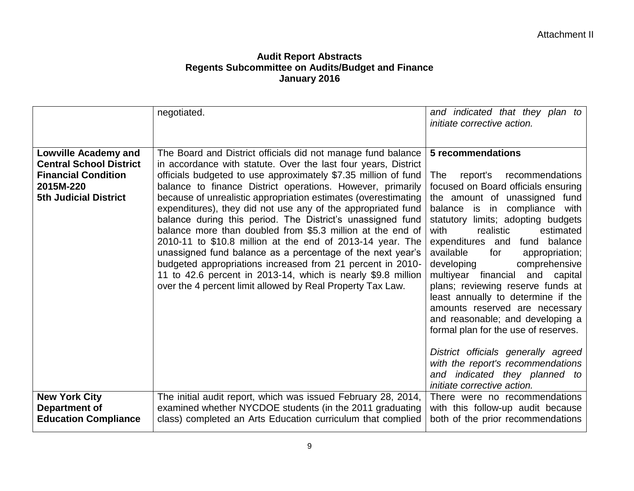|                                | negotiated.                                                                                                             | and indicated that they plan to                        |
|--------------------------------|-------------------------------------------------------------------------------------------------------------------------|--------------------------------------------------------|
|                                |                                                                                                                         | initiate corrective action.                            |
|                                |                                                                                                                         |                                                        |
|                                |                                                                                                                         |                                                        |
| <b>Lowville Academy and</b>    | The Board and District officials did not manage fund balance                                                            | 5 recommendations                                      |
| <b>Central School District</b> | in accordance with statute. Over the last four years, District                                                          |                                                        |
| <b>Financial Condition</b>     | officials budgeted to use approximately \$7.35 million of fund                                                          | recommendations<br>The<br>report's                     |
| 2015M-220                      | balance to finance District operations. However, primarily                                                              | focused on Board officials ensuring                    |
| <b>5th Judicial District</b>   | because of unrealistic appropriation estimates (overestimating                                                          | the amount of unassigned fund                          |
|                                | expenditures), they did not use any of the appropriated fund                                                            | balance is in<br>compliance with                       |
|                                | balance during this period. The District's unassigned fund                                                              | statutory limits; adopting budgets                     |
|                                | balance more than doubled from \$5.3 million at the end of                                                              | realistic<br>estimated<br>with<br>fund balance         |
|                                | 2010-11 to \$10.8 million at the end of 2013-14 year. The<br>unassigned fund balance as a percentage of the next year's | expenditures and<br>available<br>appropriation;<br>for |
|                                | budgeted appropriations increased from 21 percent in 2010-                                                              | comprehensive<br>developing                            |
|                                | 11 to 42.6 percent in 2013-14, which is nearly \$9.8 million                                                            | multiyear financial and capital                        |
|                                | over the 4 percent limit allowed by Real Property Tax Law.                                                              | plans; reviewing reserve funds at                      |
|                                |                                                                                                                         | least annually to determine if the                     |
|                                |                                                                                                                         | amounts reserved are necessary                         |
|                                |                                                                                                                         | and reasonable; and developing a                       |
|                                |                                                                                                                         | formal plan for the use of reserves.                   |
|                                |                                                                                                                         |                                                        |
|                                |                                                                                                                         | District officials generally agreed                    |
|                                |                                                                                                                         | with the report's recommendations                      |
|                                |                                                                                                                         | and indicated they planned to                          |
|                                |                                                                                                                         | initiate corrective action.                            |
| <b>New York City</b>           | The initial audit report, which was issued February 28, 2014,                                                           | There were no recommendations                          |
| Department of                  | examined whether NYCDOE students (in the 2011 graduating                                                                | with this follow-up audit because                      |
| <b>Education Compliance</b>    | class) completed an Arts Education curriculum that complied                                                             | both of the prior recommendations                      |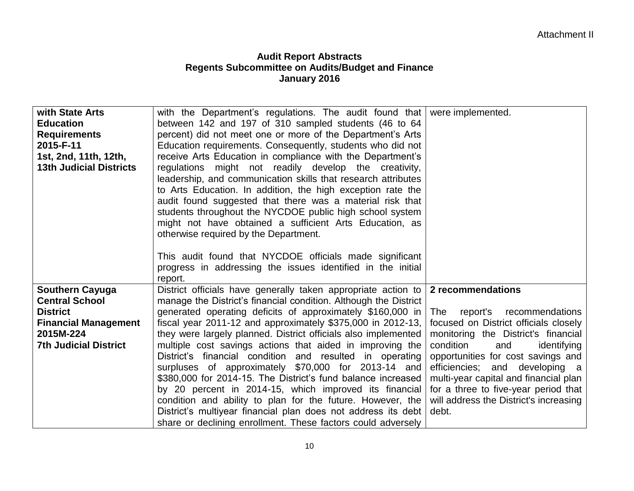| with State Arts<br><b>Education</b><br><b>Requirements</b><br>2015-F-11<br>1st, 2nd, 11th, 12th,<br><b>13th Judicial Districts</b>             | with the Department's regulations. The audit found that<br>between 142 and 197 of 310 sampled students (46 to 64<br>percent) did not meet one or more of the Department's Arts<br>Education requirements. Consequently, students who did not<br>receive Arts Education in compliance with the Department's<br>regulations might not readily develop the creativity,<br>leadership, and communication skills that research attributes<br>to Arts Education. In addition, the high exception rate the<br>audit found suggested that there was a material risk that<br>students throughout the NYCDOE public high school system<br>might not have obtained a sufficient Arts Education, as<br>otherwise required by the Department.                                                                                                           | were implemented.                                                                                                                                                                                                                                                                                                                                                                      |
|------------------------------------------------------------------------------------------------------------------------------------------------|--------------------------------------------------------------------------------------------------------------------------------------------------------------------------------------------------------------------------------------------------------------------------------------------------------------------------------------------------------------------------------------------------------------------------------------------------------------------------------------------------------------------------------------------------------------------------------------------------------------------------------------------------------------------------------------------------------------------------------------------------------------------------------------------------------------------------------------------|----------------------------------------------------------------------------------------------------------------------------------------------------------------------------------------------------------------------------------------------------------------------------------------------------------------------------------------------------------------------------------------|
|                                                                                                                                                | This audit found that NYCDOE officials made significant<br>progress in addressing the issues identified in the initial<br>report.                                                                                                                                                                                                                                                                                                                                                                                                                                                                                                                                                                                                                                                                                                          |                                                                                                                                                                                                                                                                                                                                                                                        |
| <b>Southern Cayuga</b><br><b>Central School</b><br><b>District</b><br><b>Financial Management</b><br>2015M-224<br><b>7th Judicial District</b> | District officials have generally taken appropriate action to<br>manage the District's financial condition. Although the District<br>generated operating deficits of approximately \$160,000 in<br>fiscal year 2011-12 and approximately $$375,000$ in 2012-13,<br>they were largely planned. District officials also implemented<br>multiple cost savings actions that aided in improving the<br>District's financial condition and resulted in operating<br>surpluses of approximately \$70,000 for 2013-14 and<br>\$380,000 for 2014-15. The District's fund balance increased<br>by 20 percent in 2014-15, which improved its financial<br>condition and ability to plan for the future. However, the<br>District's multiyear financial plan does not address its debt<br>share or declining enrollment. These factors could adversely | 2 recommendations<br>The<br>report's<br>recommendations<br>focused on District officials closely<br>monitoring the District's financial<br>condition<br>and<br>identifying<br>opportunities for cost savings and<br>efficiencies; and developing a<br>multi-year capital and financial plan<br>for a three to five-year period that<br>will address the District's increasing<br>debt. |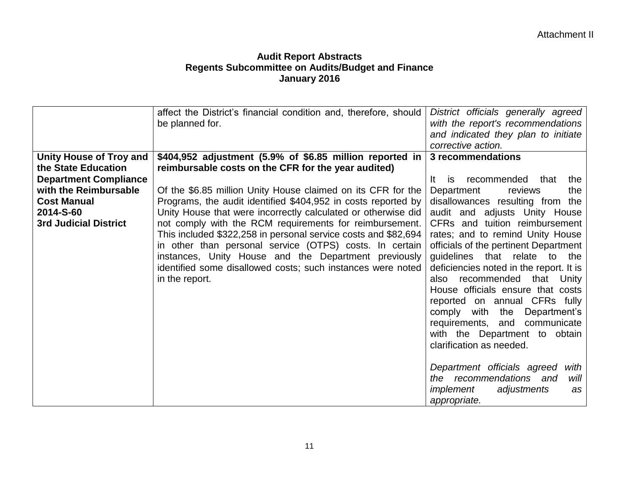|                                | affect the District's financial condition and, therefore, should<br>be planned for. | District officials generally agreed<br>with the report's recommendations<br>and indicated they plan to initiate<br>corrective action. |
|--------------------------------|-------------------------------------------------------------------------------------|---------------------------------------------------------------------------------------------------------------------------------------|
| <b>Unity House of Troy and</b> | $$404,952$ adjustment (5.9% of \$6.85 million reported in                           | 3 recommendations                                                                                                                     |
| the State Education            | reimbursable costs on the CFR for the year audited)                                 |                                                                                                                                       |
| <b>Department Compliance</b>   |                                                                                     | recommended that<br>the<br>is<br>lt.                                                                                                  |
| with the Reimbursable          | Of the \$6.85 million Unity House claimed on its CFR for the                        | Department<br>reviews<br>the                                                                                                          |
| <b>Cost Manual</b>             | Programs, the audit identified \$404,952 in costs reported by                       | disallowances resulting from the                                                                                                      |
| 2014-S-60                      | Unity House that were incorrectly calculated or otherwise did                       | audit and adjusts Unity House                                                                                                         |
| <b>3rd Judicial District</b>   | not comply with the RCM requirements for reimbursement.                             | CFRs and tuition reimbursement                                                                                                        |
|                                | This included \$322,258 in personal service costs and \$82,694                      | rates; and to remind Unity House                                                                                                      |
|                                | in other than personal service (OTPS) costs. In certain                             | officials of the pertinent Department                                                                                                 |
|                                | instances, Unity House and the Department previously                                | guidelines<br>that relate<br>to<br>the                                                                                                |
|                                | identified some disallowed costs; such instances were noted                         | deficiencies noted in the report. It is                                                                                               |
|                                | in the report.                                                                      | recommended that Unity<br>also                                                                                                        |
|                                |                                                                                     | House officials ensure that costs                                                                                                     |
|                                |                                                                                     | reported on annual CFRs fully                                                                                                         |
|                                |                                                                                     | Department's<br>comply with<br>the                                                                                                    |
|                                |                                                                                     | requirements, and<br>communicate                                                                                                      |
|                                |                                                                                     | with the Department to obtain                                                                                                         |
|                                |                                                                                     | clarification as needed.                                                                                                              |
|                                |                                                                                     |                                                                                                                                       |
|                                |                                                                                     | Department officials agreed<br>with<br>the recommendations and<br>will                                                                |
|                                |                                                                                     | adjustments<br>implement<br>as                                                                                                        |
|                                |                                                                                     |                                                                                                                                       |
|                                |                                                                                     | appropriate.                                                                                                                          |